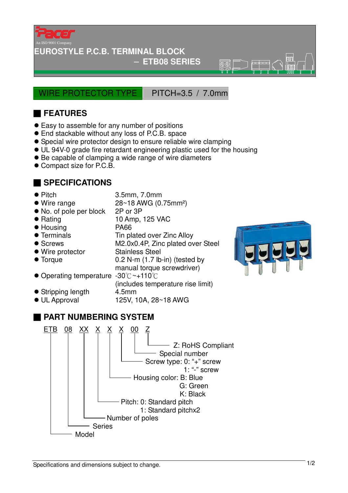

### **EUROSTYLE P.C.B. TERMINAL BLOCK**

### − **ETB08 SERIES**

 $\overline{\mathbb{R}}\overline{\mathbb{R}}$ 

WIRE PROTECTOR TYPE PITCH=3.5 / 7.0mm

# ■ **FEATURES**

- Easy to assemble for any number of positions
- End stackable without any loss of P.C.B. space
- Special wire protector design to ensure reliable wire clamping
- UL 94V-0 grade fire retardant engineering plastic used for the housing
- Be capable of clamping a wide range of wire diameters
- Compact size for P.C.B.

# ■ **SPECIFICATIONS**

- 
- Pitch 3.5mm, 7.0mm
- Wire range 28~18 AWG (0.75mm<sup>2</sup>)
- No. of pole per block 2P or 3P
- Rating 10 Amp, 125 VAC
- Housing PA66
- Terminals Tin plated over Zinc Alloy
- Screws M2.0x0.4P, Zinc plated over Steel
- Wire protector Stainless Steel
- Torque 0.2 N-m (1.7 lb-in) (tested by
- manual torque screwdriver)
- $\bullet$  Operating temperature -30 $\degree$ C ~+110 $\degree$ C
- Stripping length 4.5mm
- 
- (includes temperature rise limit)
- $\bullet$  UL Approval 125V, 10A, 28~18 AWG



# ■ **PART NUMBERING SYSTEM**